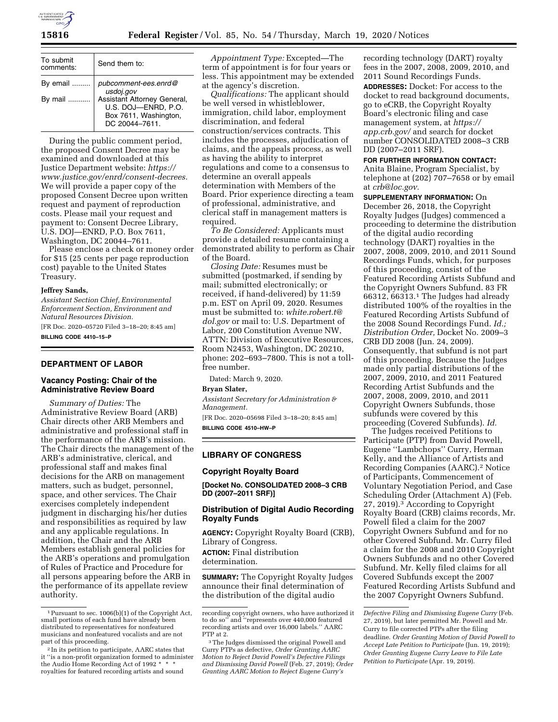

| To submit<br>comments: | Send them to:                                                                                 |  |  |  |
|------------------------|-----------------------------------------------------------------------------------------------|--|--|--|
| By email               | pubcomment-ees.enrd@<br>usdoj.gov                                                             |  |  |  |
| By mail                | Assistant Attorney General,<br>U.S. DOJ-ENRD, P.O.<br>Box 7611, Washington,<br>DC 20044-7611. |  |  |  |

During the public comment period, the proposed Consent Decree may be examined and downloaded at this Justice Department website: *[https://](https://www.justice.gov/enrd/consent-decrees) [www.justice.gov/enrd/consent-decrees.](https://www.justice.gov/enrd/consent-decrees)*  We will provide a paper copy of the proposed Consent Decree upon written request and payment of reproduction costs. Please mail your request and payment to: Consent Decree Library, U.S. DOJ—ENRD, P.O. Box 7611, Washington, DC 20044–7611.

Please enclose a check or money order for \$15 (25 cents per page reproduction cost) payable to the United States Treasury.

#### **Jeffrey Sands,**

*Assistant Section Chief, Environmental Enforcement Section, Environment and Natural Resources Division.* 

[FR Doc. 2020–05720 Filed 3–18–20; 8:45 am] **BILLING CODE 4410–15–P** 

# **DEPARTMENT OF LABOR**

### **Vacancy Posting: Chair of the Administrative Review Board**

*Summary of Duties:* The Administrative Review Board (ARB) Chair directs other ARB Members and administrative and professional staff in the performance of the ARB's mission. The Chair directs the management of the ARB's administrative, clerical, and professional staff and makes final decisions for the ARB on management matters, such as budget, personnel, space, and other services. The Chair exercises completely independent judgment in discharging his/her duties and responsibilities as required by law and any applicable regulations. In addition, the Chair and the ARB Members establish general policies for the ARB's operations and promulgation of Rules of Practice and Procedure for all persons appearing before the ARB in the performance of its appellate review authority.

*Appointment Type:* Excepted—The term of appointment is for four years or less. This appointment may be extended at the agency's discretion.

*Qualifications:* The applicant should be well versed in whistleblower, immigration, child labor, employment discrimination, and federal construction/services contracts. This includes the processes, adjudication of claims, and the appeals process, as well as having the ability to interpret regulations and come to a consensus to determine an overall appeals determination with Members of the Board. Prior experience directing a team of professional, administrative, and clerical staff in management matters is required.

*To Be Considered:* Applicants must provide a detailed resume containing a demonstrated ability to perform as Chair of the Board.

*Closing Date:* Resumes must be submitted (postmarked, if sending by mail; submitted electronically; or received, if hand-delivered) by 11:59 p.m. EST on April 09, 2020. Resumes must be submitted to: *[white.robert.t@](mailto:white.robert.t@dol.gov) [dol.gov](mailto:white.robert.t@dol.gov)* or mail to: U.S. Department of Labor, 200 Constitution Avenue NW, ATTN: Division of Executive Resources, Room N2453, Washington, DC 20210, phone: 202–693–7800. This is not a tollfree number.

Dated: March 9, 2020.

### **Bryan Slater,**

*Assistant Secretary for Administration & Management.* 

[FR Doc. 2020–05698 Filed 3–18–20; 8:45 am] **BILLING CODE 4510–HW–P** 

### **LIBRARY OF CONGRESS**

### **Copyright Royalty Board**

**[Docket No. CONSOLIDATED 2008–3 CRB DD (2007–2011 SRF)]** 

### **Distribution of Digital Audio Recording Royalty Funds**

**AGENCY:** Copyright Royalty Board (CRB), Library of Congress. **ACTION:** Final distribution determination.

**SUMMARY:** The Copyright Royalty Judges announce their final determination of the distribution of the digital audio

recording technology (DART) royalty fees in the 2007, 2008, 2009, 2010, and 2011 Sound Recordings Funds. **ADDRESSES:** Docket: For access to the docket to read background documents, go to eCRB, the Copyright Royalty Board's electronic filing and case management system, at *[https://](https://app.crb.gov/) [app.crb.gov/](https://app.crb.gov/)* and search for docket number CONSOLIDATED 2008–3 CRB DD (2007–2011 SRF).

### **FOR FURTHER INFORMATION CONTACT:**

Anita Blaine, Program Specialist, by telephone at (202) 707–7658 or by email at *[crb@loc.gov.](mailto:crb@loc.gov)* 

**SUPPLEMENTARY INFORMATION:** On December 26, 2018, the Copyright Royalty Judges (Judges) commenced a proceeding to determine the distribution of the digital audio recording technology (DART) royalties in the 2007, 2008, 2009, 2010, and 2011 Sound Recordings Funds, which, for purposes of this proceeding, consist of the Featured Recording Artists Subfund and the Copyright Owners Subfund. 83 FR 66312, 66313.1 The Judges had already distributed 100% of the royalties in the Featured Recording Artists Subfund of the 2008 Sound Recordings Fund. *Id.; Distribution Order,* Docket No. 2009–3 CRB DD 2008 (Jun. 24, 2009). Consequently, that subfund is not part of this proceeding. Because the Judges made only partial distributions of the 2007, 2009, 2010, and 2011 Featured Recording Artist Subfunds and the 2007, 2008, 2009, 2010, and 2011 Copyright Owners Subfunds, those subfunds were covered by this proceeding (Covered Subfunds). *Id.* 

The Judges received Petitions to Participate (PTP) from David Powell, Eugene ''Lambchops'' Curry, Herman Kelly, and the Alliance of Artists and Recording Companies (AARC).2 Notice of Participants, Commencement of Voluntary Negotiation Period, and Case Scheduling Order (Attachment A) (Feb. 27, 2019).3 According to Copyright Royalty Board (CRB) claims records, Mr. Powell filed a claim for the 2007 Copyright Owners Subfund and for no other Covered Subfund. Mr. Curry filed a claim for the 2008 and 2010 Copyright Owners Subfunds and no other Covered Subfund. Mr. Kelly filed claims for all Covered Subfunds except the 2007 Featured Recording Artists Subfund and the 2007 Copyright Owners Subfund.

<sup>&</sup>lt;sup>1</sup> Pursuant to sec. 1006(b)(1) of the Copyright Act, small portions of each fund have already been distributed to representatives for nonfeatured musicians and nonfeatured vocalists and are not part of this proceeding.

<sup>&</sup>lt;sup>2</sup> In its petition to participate, AARC states that it ''is a non-profit organization formed to administer the Audio Home Recording Act of 1992 \* royalties for featured recording artists and sound

recording copyright owners, who have authorized it to do so'' and ''represents over 440,000 featured recording artists and over 16,000 labels.'' AARC PTP at 2.

<sup>3</sup>The Judges dismissed the original Powell and Curry PTPs as defective, *Order Granting AARC Motion to Reject David Powell's Defective Filings and Dismissing David Powell* (Feb. 27, 2019); *Order Granting AARC Motion to Reject Eugene Curry's* 

*Defective Filing and Dismissing Eugene Curry* (Feb. 27, 2019), but later permitted Mr. Powell and Mr. Curry to file corrected PTPs after the filing deadline. *Order Granting Motion of David Powell to Accept Late Petition to Participate* (Jun. 19, 2019); *Order Granting Eugene Curry Leave to File Late Petition to Participate* (Apr. 19, 2019).